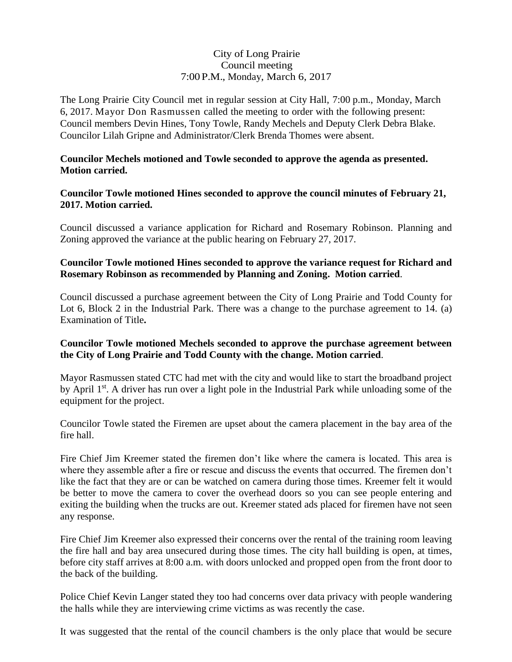# City of Long Prairie Council meeting 7:00 P.M., Monday, March 6, 2017

The Long Prairie City Council met in regular session at City Hall, 7:00 p.m., Monday, March 6, 2017. Mayor Don Rasmussen called the meeting to order with the following present: Council members Devin Hines, Tony Towle, Randy Mechels and Deputy Clerk Debra Blake. Councilor Lilah Gripne and Administrator/Clerk Brenda Thomes were absent.

#### **Councilor Mechels motioned and Towle seconded to approve the agenda as presented. Motion carried.**

### **Councilor Towle motioned Hines seconded to approve the council minutes of February 21, 2017. Motion carried.**

Council discussed a variance application for Richard and Rosemary Robinson. Planning and Zoning approved the variance at the public hearing on February 27, 2017.

# **Councilor Towle motioned Hines seconded to approve the variance request for Richard and Rosemary Robinson as recommended by Planning and Zoning. Motion carried**.

Council discussed a purchase agreement between the City of Long Prairie and Todd County for Lot 6, Block 2 in the Industrial Park. There was a change to the purchase agreement to 14. (a) Examination of Title**.** 

#### **Councilor Towle motioned Mechels seconded to approve the purchase agreement between the City of Long Prairie and Todd County with the change. Motion carried**.

Mayor Rasmussen stated CTC had met with the city and would like to start the broadband project by April 1<sup>st</sup>. A driver has run over a light pole in the Industrial Park while unloading some of the equipment for the project.

Councilor Towle stated the Firemen are upset about the camera placement in the bay area of the fire hall.

Fire Chief Jim Kreemer stated the firemen don't like where the camera is located. This area is where they assemble after a fire or rescue and discuss the events that occurred. The firemen don't like the fact that they are or can be watched on camera during those times. Kreemer felt it would be better to move the camera to cover the overhead doors so you can see people entering and exiting the building when the trucks are out. Kreemer stated ads placed for firemen have not seen any response.

Fire Chief Jim Kreemer also expressed their concerns over the rental of the training room leaving the fire hall and bay area unsecured during those times. The city hall building is open, at times, before city staff arrives at 8:00 a.m. with doors unlocked and propped open from the front door to the back of the building.

Police Chief Kevin Langer stated they too had concerns over data privacy with people wandering the halls while they are interviewing crime victims as was recently the case.

It was suggested that the rental of the council chambers is the only place that would be secure